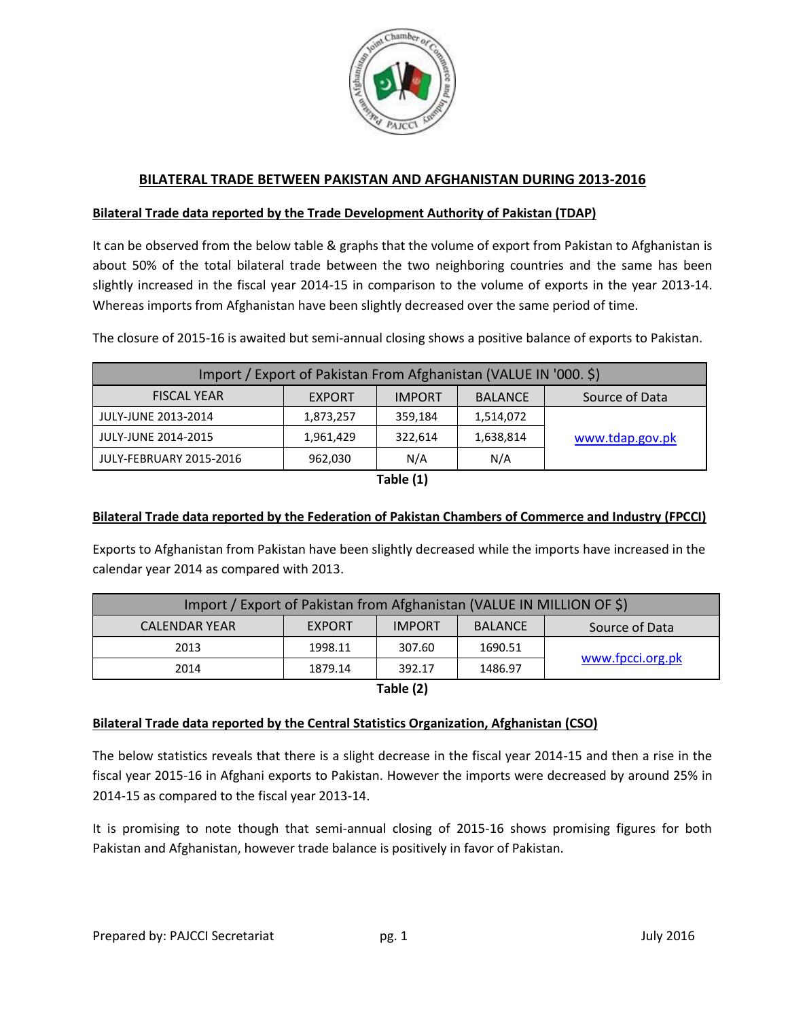

# **BILATERAL TRADE BETWEEN PAKISTAN AND AFGHANISTAN DURING 2013-2016**

## **Bilateral Trade data reported by the Trade Development Authority of Pakistan (TDAP)**

It can be observed from the below table & graphs that the volume of export from Pakistan to Afghanistan is about 50% of the total bilateral trade between the two neighboring countries and the same has been slightly increased in the fiscal year 2014-15 in comparison to the volume of exports in the year 2013-14. Whereas imports from Afghanistan have been slightly decreased over the same period of time.

The closure of 2015-16 is awaited but semi-annual closing shows a positive balance of exports to Pakistan.

| Import / Export of Pakistan From Afghanistan (VALUE IN '000. \$) |               |               |                |                 |
|------------------------------------------------------------------|---------------|---------------|----------------|-----------------|
| <b>FISCAL YEAR</b>                                               | <b>EXPORT</b> | <b>IMPORT</b> | <b>BALANCE</b> | Source of Data  |
| JULY-JUNE 2013-2014                                              | 1,873,257     | 359,184       | 1,514,072      |                 |
| JULY-JUNE 2014-2015                                              | 1,961,429     | 322,614       | 1,638,814      | www.tdap.gov.pk |
| JULY-FEBRUARY 2015-2016                                          | 962,030       | N/A           | N/A            |                 |

**Table (1)**

### **Bilateral Trade data reported by the Federation of Pakistan Chambers of Commerce and Industry (FPCCI)**

Exports to Afghanistan from Pakistan have been slightly decreased while the imports have increased in the calendar year 2014 as compared with 2013.

| Import / Export of Pakistan from Afghanistan (VALUE IN MILLION OF \$) |               |               |                |                  |  |
|-----------------------------------------------------------------------|---------------|---------------|----------------|------------------|--|
| <b>CALENDAR YEAR</b>                                                  | <b>EXPORT</b> | <b>IMPORT</b> | <b>BALANCE</b> | Source of Data   |  |
| 2013                                                                  | 1998.11       | 307.60        | 1690.51        |                  |  |
| 2014                                                                  | 1879.14       | 392.17        | 1486.97        | www.fpcci.org.pk |  |

**Table (2)**

#### **Bilateral Trade data reported by the Central Statistics Organization, Afghanistan (CSO)**

The below statistics reveals that there is a slight decrease in the fiscal year 2014-15 and then a rise in the fiscal year 2015-16 in Afghani exports to Pakistan. However the imports were decreased by around 25% in 2014-15 as compared to the fiscal year 2013-14.

It is promising to note though that semi-annual closing of 2015-16 shows promising figures for both Pakistan and Afghanistan, however trade balance is positively in favor of Pakistan.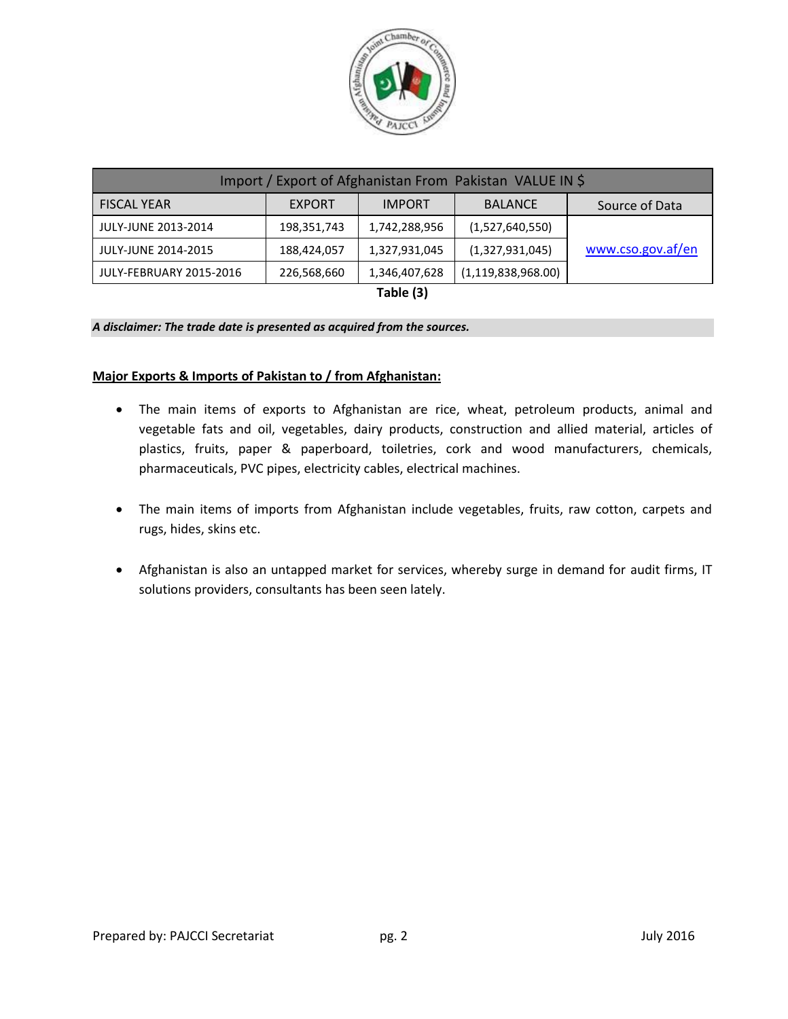

| Import / Export of Afghanistan From Pakistan VALUE IN \$ |               |               |                       |                   |
|----------------------------------------------------------|---------------|---------------|-----------------------|-------------------|
| <b>FISCAL YEAR</b>                                       | <b>EXPORT</b> | <b>IMPORT</b> | <b>BALANCE</b>        | Source of Data    |
| JULY-JUNE 2013-2014                                      | 198,351,743   | 1,742,288,956 | (1,527,640,550)       |                   |
| JULY-JUNE 2014-2015                                      | 188,424,057   | 1,327,931,045 | (1,327,931,045)       | www.cso.gov.af/en |
| JULY-FEBRUARY 2015-2016                                  | 226,568,660   | 1,346,407,628 | (1, 119, 838, 968.00) |                   |

**Table (3)**

#### *A disclaimer: The trade date is presented as acquired from the sources.*

#### **Major Exports & Imports of Pakistan to / from Afghanistan:**

- The main items of exports to Afghanistan are rice, wheat, petroleum products, animal and vegetable fats and oil, vegetables, dairy products, construction and allied material, articles of plastics, fruits, paper & paperboard, toiletries, cork and wood manufacturers, chemicals, pharmaceuticals, PVC pipes, electricity cables, electrical machines.
- The main items of imports from Afghanistan include vegetables, fruits, raw cotton, carpets and rugs, hides, skins etc.
- Afghanistan is also an untapped market for services, whereby surge in demand for audit firms, IT solutions providers, consultants has been seen lately.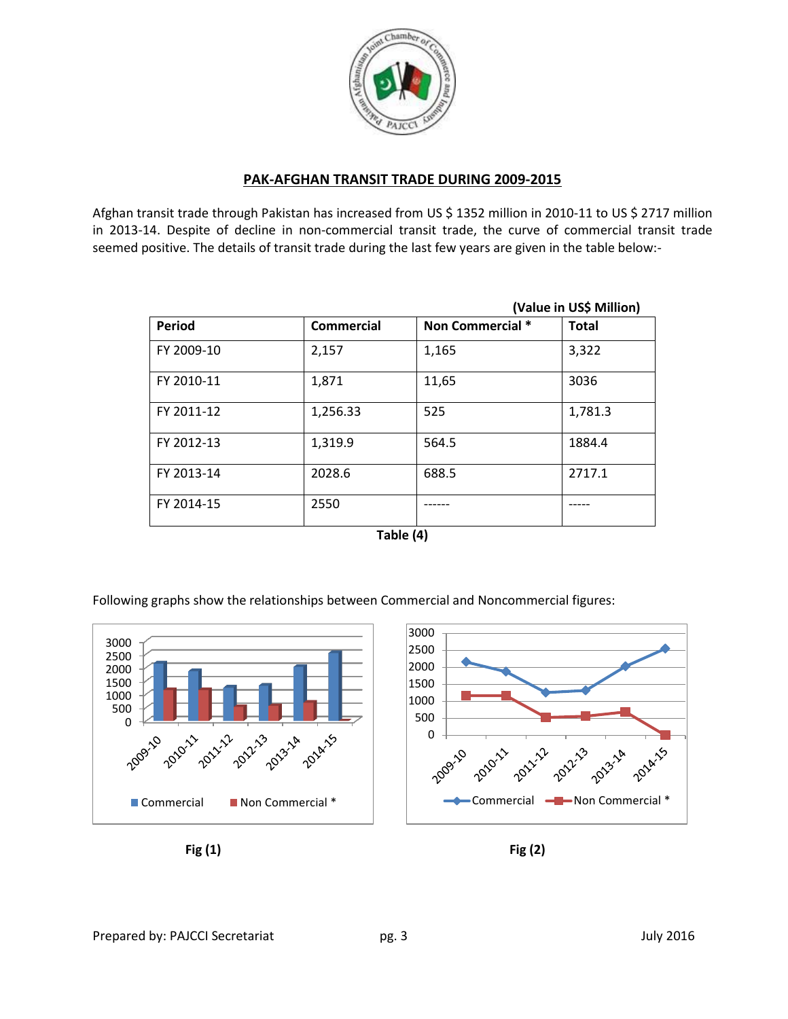

# **PAK-AFGHAN TRANSIT TRADE DURING 2009-2015**

Afghan transit trade through Pakistan has increased from US \$ 1352 million in 2010-11 to US \$ 2717 million in 2013-14. Despite of decline in non-commercial transit trade, the curve of commercial transit trade seemed positive. The details of transit trade during the last few years are given in the table below:-

|               |            |                  | (Value in US\$ Million) |
|---------------|------------|------------------|-------------------------|
| <b>Period</b> | Commercial | Non Commercial * | <b>Total</b>            |
| FY 2009-10    | 2,157      | 1,165            | 3,322                   |
| FY 2010-11    | 1,871      | 11,65            | 3036                    |
| FY 2011-12    | 1,256.33   | 525              | 1,781.3                 |
| FY 2012-13    | 1,319.9    | 564.5            | 1884.4                  |
| FY 2013-14    | 2028.6     | 688.5            | 2717.1                  |
| FY 2014-15    | 2550       |                  |                         |

| Table (4) |  |
|-----------|--|
|-----------|--|

Following graphs show the relationships between Commercial and Noncommercial figures:



**Fig (1) Fig (2)**